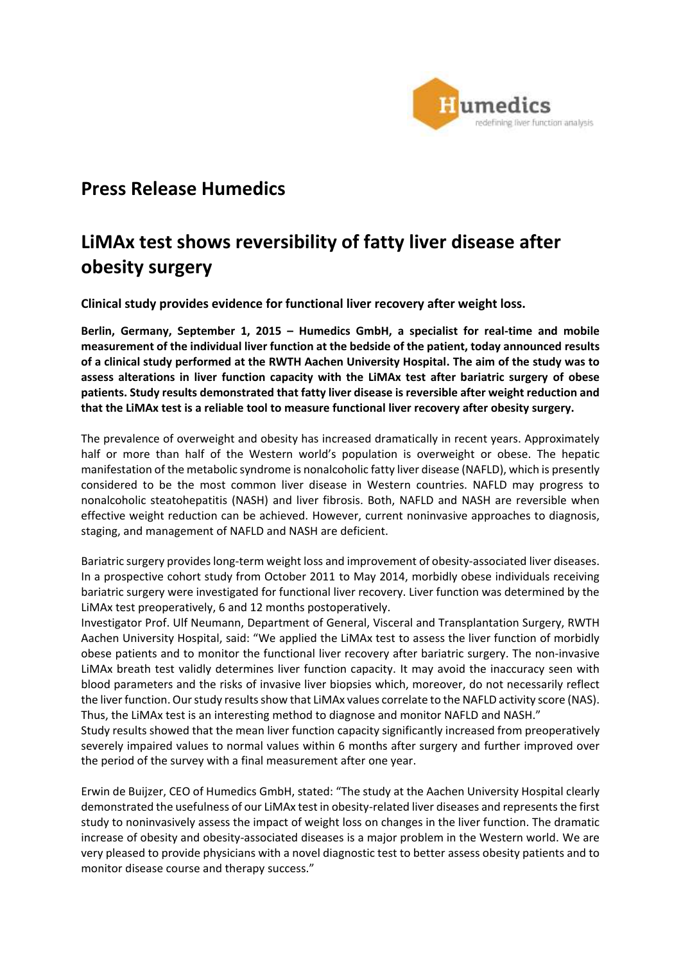

## **Press Release Humedics**

# **LiMAx test shows reversibility of fatty liver disease after obesity surgery**

**Clinical study provides evidence for functional liver recovery after weight loss.**

**Berlin, Germany, September 1, 2015 – Humedics GmbH, a specialist for real-time and mobile measurement of the individual liver function at the bedside of the patient, today announced results of a clinical study performed at the RWTH Aachen University Hospital. The aim of the study was to assess alterations in liver function capacity with the LiMAx test after bariatric surgery of obese patients. Study results demonstrated that fatty liver disease is reversible after weight reduction and that the LiMAx test is a reliable tool to measure functional liver recovery after obesity surgery.**

The prevalence of overweight and obesity has increased dramatically in recent years. Approximately half or more than half of the Western world's population is overweight or obese. The hepatic manifestation of the metabolic syndrome is nonalcoholic fatty liver disease (NAFLD), which is presently considered to be the most common liver disease in Western countries. NAFLD may progress to nonalcoholic steatohepatitis (NASH) and liver fibrosis. Both, NAFLD and NASH are reversible when effective weight reduction can be achieved. However, current noninvasive approaches to diagnosis, staging, and management of NAFLD and NASH are deficient.

Bariatric surgery provides long-term weight loss and improvement of obesity-associated liver diseases. In a prospective cohort study from October 2011 to May 2014, morbidly obese individuals receiving bariatric surgery were investigated for functional liver recovery. Liver function was determined by the LiMAx test preoperatively, 6 and 12 months postoperatively.

Investigator Prof. Ulf Neumann, Department of General, Visceral and Transplantation Surgery, RWTH Aachen University Hospital, said: "We applied the LiMAx test to assess the liver function of morbidly obese patients and to monitor the functional liver recovery after bariatric surgery. The non-invasive LiMAx breath test validly determines liver function capacity. It may avoid the inaccuracy seen with blood parameters and the risks of invasive liver biopsies which, moreover, do not necessarily reflect the liver function. Our study results show that LiMAx values correlate to the NAFLD activity score (NAS). Thus, the LiMAx test is an interesting method to diagnose and monitor NAFLD and NASH."

Study results showed that the mean liver function capacity significantly increased from preoperatively severely impaired values to normal values within 6 months after surgery and further improved over the period of the survey with a final measurement after one year.

Erwin de Buijzer, CEO of Humedics GmbH, stated: "The study at the Aachen University Hospital clearly demonstrated the usefulness of our LiMAx test in obesity-related liver diseases and represents the first study to noninvasively assess the impact of weight loss on changes in the liver function. The dramatic increase of obesity and obesity-associated diseases is a major problem in the Western world. We are very pleased to provide physicians with a novel diagnostic test to better assess obesity patients and to monitor disease course and therapy success."